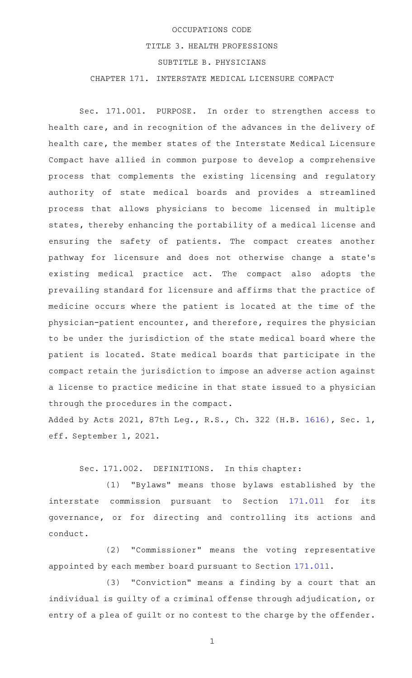## OCCUPATIONS CODE TITLE 3. HEALTH PROFESSIONS SUBTITLE B. PHYSICIANS CHAPTER 171. INTERSTATE MEDICAL LICENSURE COMPACT

Sec. 171.001. PURPOSE. In order to strengthen access to health care, and in recognition of the advances in the delivery of health care, the member states of the Interstate Medical Licensure Compact have allied in common purpose to develop a comprehensive process that complements the existing licensing and regulatory authority of state medical boards and provides a streamlined process that allows physicians to become licensed in multiple states, thereby enhancing the portability of a medical license and ensuring the safety of patients. The compact creates another pathway for licensure and does not otherwise change a state 's existing medical practice act. The compact also adopts the prevailing standard for licensure and affirms that the practice of medicine occurs where the patient is located at the time of the physician-patient encounter, and therefore, requires the physician to be under the jurisdiction of the state medical board where the patient is located. State medical boards that participate in the compact retain the jurisdiction to impose an adverse action against a license to practice medicine in that state issued to a physician through the procedures in the compact.

Added by Acts 2021, 87th Leg., R.S., Ch. 322 (H.B. [1616](http://www.legis.state.tx.us/tlodocs/87R/billtext/html/HB01616F.HTM)), Sec. 1, eff. September 1, 2021.

Sec. 171.002. DEFINITIONS. In this chapter:

(1) "Bylaws" means those bylaws established by the interstate commission pursuant to Section [171.011](http://www.statutes.legis.state.tx.us/GetStatute.aspx?Code=OC&Value=171.011) for its governance, or for directing and controlling its actions and conduct.

(2) "Commissioner" means the voting representative appointed by each member board pursuant to Section [171.011.](http://www.statutes.legis.state.tx.us/GetStatute.aspx?Code=OC&Value=171.011)

(3) "Conviction" means a finding by a court that an individual is guilty of a criminal offense through adjudication, or entry of a plea of guilt or no contest to the charge by the offender.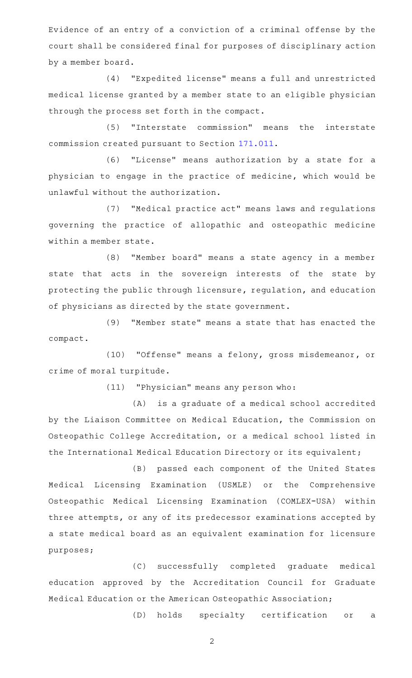Evidence of an entry of a conviction of a criminal offense by the court shall be considered final for purposes of disciplinary action by a member board.

(4) "Expedited license" means a full and unrestricted medical license granted by a member state to an eligible physician through the process set forth in the compact.

(5) "Interstate commission" means the interstate commission created pursuant to Section [171.011.](http://www.statutes.legis.state.tx.us/GetStatute.aspx?Code=OC&Value=171.011)

(6) "License" means authorization by a state for a physician to engage in the practice of medicine, which would be unlawful without the authorization.

(7) "Medical practice act" means laws and regulations governing the practice of allopathic and osteopathic medicine within a member state.

(8) "Member board" means a state agency in a member state that acts in the sovereign interests of the state by protecting the public through licensure, regulation, and education of physicians as directed by the state government.

(9) "Member state" means a state that has enacted the compact.

(10) "Offense" means a felony, gross misdemeanor, or crime of moral turpitude.

(11) "Physician" means any person who:

(A) is a graduate of a medical school accredited by the Liaison Committee on Medical Education, the Commission on Osteopathic College Accreditation, or a medical school listed in the International Medical Education Directory or its equivalent;

(B) passed each component of the United States Medical Licensing Examination (USMLE) or the Comprehensive Osteopathic Medical Licensing Examination (COMLEX-USA) within three attempts, or any of its predecessor examinations accepted by a state medical board as an equivalent examination for licensure purposes;

(C) successfully completed graduate medical education approved by the Accreditation Council for Graduate Medical Education or the American Osteopathic Association;

(D) holds specialty certification or a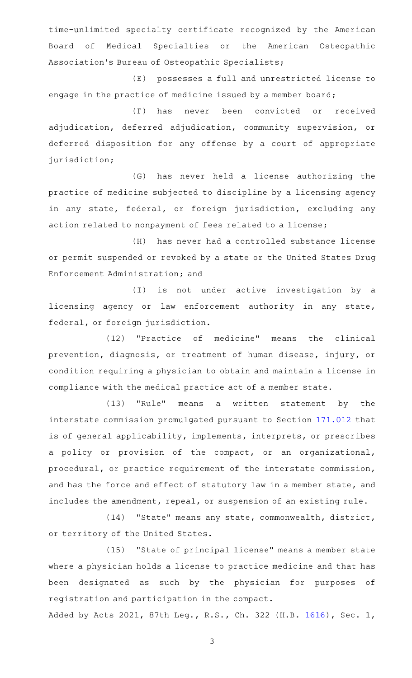time-unlimited specialty certificate recognized by the American Board of Medical Specialties or the American Osteopathic Association 's Bureau of Osteopathic Specialists;

(E) possesses a full and unrestricted license to engage in the practice of medicine issued by a member board;

(F) has never been convicted or received adjudication, deferred adjudication, community supervision, or deferred disposition for any offense by a court of appropriate jurisdiction;

(G) has never held a license authorizing the practice of medicine subjected to discipline by a licensing agency in any state, federal, or foreign jurisdiction, excluding any action related to nonpayment of fees related to a license;

(H) has never had a controlled substance license or permit suspended or revoked by a state or the United States Drug Enforcement Administration; and

(I) is not under active investigation by a licensing agency or law enforcement authority in any state, federal, or foreign jurisdiction.

(12) "Practice of medicine" means the clinical prevention, diagnosis, or treatment of human disease, injury, or condition requiring a physician to obtain and maintain a license in compliance with the medical practice act of a member state.

(13) "Rule" means a written statement by the interstate commission promulgated pursuant to Section [171.012](http://www.statutes.legis.state.tx.us/GetStatute.aspx?Code=OC&Value=171.012) that is of general applicability, implements, interprets, or prescribes a policy or provision of the compact, or an organizational, procedural, or practice requirement of the interstate commission, and has the force and effect of statutory law in a member state, and includes the amendment, repeal, or suspension of an existing rule.

(14) "State" means any state, commonwealth, district, or territory of the United States.

(15) "State of principal license" means a member state where a physician holds a license to practice medicine and that has been designated as such by the physician for purposes of registration and participation in the compact.

Added by Acts 2021, 87th Leg., R.S., Ch. 322 (H.B. [1616](http://www.legis.state.tx.us/tlodocs/87R/billtext/html/HB01616F.HTM)), Sec. 1,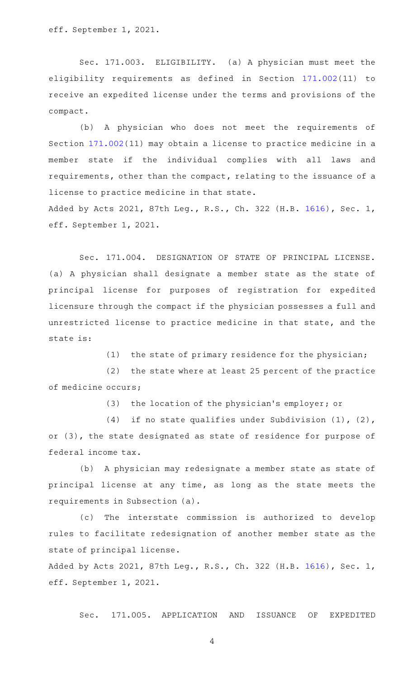eff. September 1, 2021.

Sec. 171.003. ELIGIBILITY. (a) A physician must meet the eligibility requirements as defined in Section [171.002\(](http://www.statutes.legis.state.tx.us/GetStatute.aspx?Code=OC&Value=171.002)11) to receive an expedited license under the terms and provisions of the compact.

(b) A physician who does not meet the requirements of Section [171.002](http://www.statutes.legis.state.tx.us/GetStatute.aspx?Code=OC&Value=171.002)(11) may obtain a license to practice medicine in a member state if the individual complies with all laws and requirements, other than the compact, relating to the issuance of a license to practice medicine in that state. Added by Acts 2021, 87th Leg., R.S., Ch. 322 (H.B. [1616](http://www.legis.state.tx.us/tlodocs/87R/billtext/html/HB01616F.HTM)), Sec. 1,

eff. September 1, 2021.

Sec. 171.004. DESIGNATION OF STATE OF PRINCIPAL LICENSE. (a) A physician shall designate a member state as the state of principal license for purposes of registration for expedited licensure through the compact if the physician possesses a full and unrestricted license to practice medicine in that state, and the state is:

(1) the state of primary residence for the physician;

 $(2)$  the state where at least 25 percent of the practice of medicine occurs;

(3) the location of the physician's employer; or

(4) if no state qualifies under Subdivision  $(1)$ ,  $(2)$ , or (3), the state designated as state of residence for purpose of federal income tax.

(b) A physician may redesignate a member state as state of principal license at any time, as long as the state meets the requirements in Subsection (a).

(c) The interstate commission is authorized to develop rules to facilitate redesignation of another member state as the state of principal license.

Added by Acts 2021, 87th Leg., R.S., Ch. 322 (H.B. [1616](http://www.legis.state.tx.us/tlodocs/87R/billtext/html/HB01616F.HTM)), Sec. 1, eff. September 1, 2021.

Sec. 171.005. APPLICATION AND ISSUANCE OF EXPEDITED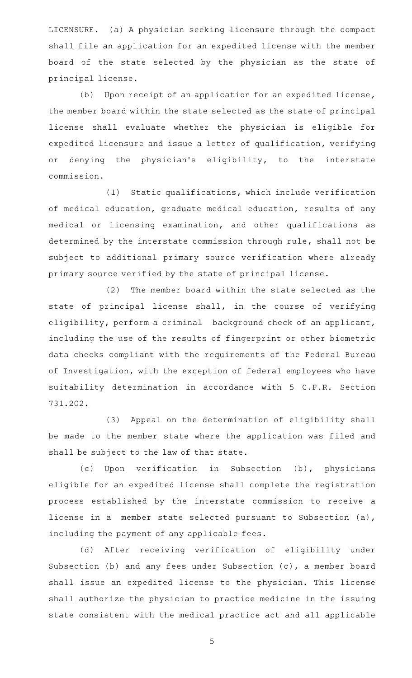LICENSURE. (a) A physician seeking licensure through the compact shall file an application for an expedited license with the member board of the state selected by the physician as the state of principal license.

 $(b)$  Upon receipt of an application for an expedited license, the member board within the state selected as the state of principal license shall evaluate whether the physician is eligible for expedited licensure and issue a letter of qualification, verifying or denying the physician's eligibility, to the interstate commission.

(1) Static qualifications, which include verification of medical education, graduate medical education, results of any medical or licensing examination, and other qualifications as determined by the interstate commission through rule, shall not be subject to additional primary source verification where already primary source verified by the state of principal license.

(2) The member board within the state selected as the state of principal license shall, in the course of verifying eligibility, perform a criminal background check of an applicant, including the use of the results of fingerprint or other biometric data checks compliant with the requirements of the Federal Bureau of Investigation, with the exception of federal employees who have suitability determination in accordance with 5 C.F.R. Section 731.202.

(3) Appeal on the determination of eligibility shall be made to the member state where the application was filed and shall be subject to the law of that state.

(c) Upon verification in Subsection (b), physicians eligible for an expedited license shall complete the registration process established by the interstate commission to receive a license in a member state selected pursuant to Subsection (a), including the payment of any applicable fees.

(d) After receiving verification of eligibility under Subsection (b) and any fees under Subsection (c), a member board shall issue an expedited license to the physician. This license shall authorize the physician to practice medicine in the issuing state consistent with the medical practice act and all applicable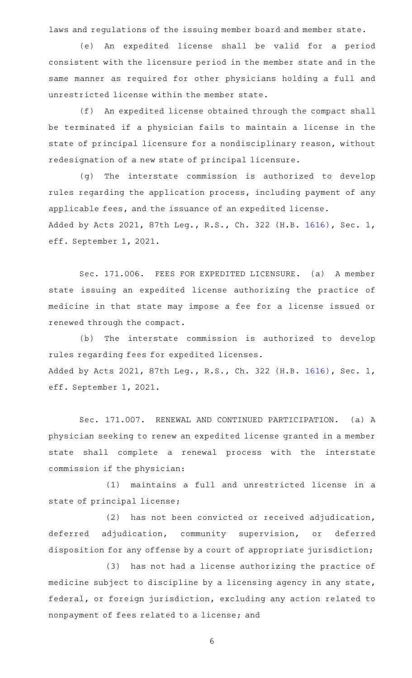laws and regulations of the issuing member board and member state.

(e) An expedited license shall be valid for a period consistent with the licensure period in the member state and in the same manner as required for other physicians holding a full and unrestricted license within the member state.

(f) An expedited license obtained through the compact shall be terminated if a physician fails to maintain a license in the state of principal licensure for a nondisciplinary reason, without redesignation of a new state of principal licensure.

(g) The interstate commission is authorized to develop rules regarding the application process, including payment of any applicable fees, and the issuance of an expedited license. Added by Acts 2021, 87th Leg., R.S., Ch. 322 (H.B. [1616](http://www.legis.state.tx.us/tlodocs/87R/billtext/html/HB01616F.HTM)), Sec. 1, eff. September 1, 2021.

Sec. 171.006. FEES FOR EXPEDITED LICENSURE. (a) A member state issuing an expedited license authorizing the practice of medicine in that state may impose a fee for a license issued or renewed through the compact.

(b) The interstate commission is authorized to develop rules regarding fees for expedited licenses. Added by Acts 2021, 87th Leg., R.S., Ch. 322 (H.B. [1616](http://www.legis.state.tx.us/tlodocs/87R/billtext/html/HB01616F.HTM)), Sec. 1, eff. September 1, 2021.

Sec. 171.007. RENEWAL AND CONTINUED PARTICIPATION. (a) A physician seeking to renew an expedited license granted in a member state shall complete a renewal process with the interstate commission if the physician:

(1) maintains a full and unrestricted license in a state of principal license;

(2) has not been convicted or received adjudication, deferred adjudication, community supervision, or deferred disposition for any offense by a court of appropriate jurisdiction;

(3) has not had a license authorizing the practice of medicine subject to discipline by a licensing agency in any state, federal, or foreign jurisdiction, excluding any action related to nonpayment of fees related to a license; and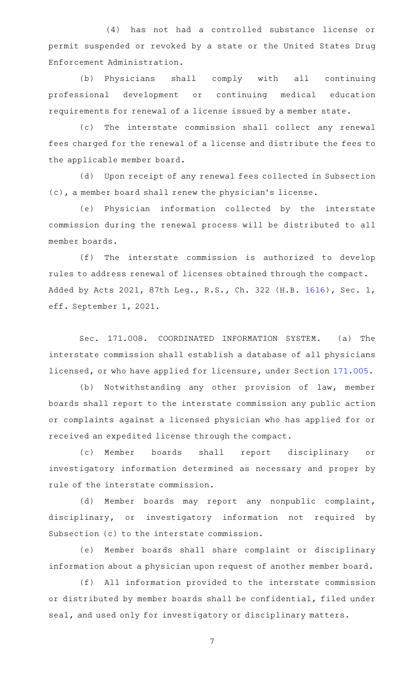(4) has not had a controlled substance license or permit suspended or revoked by a state or the United States Drug Enforcement Administration.

(b) Physicians shall comply with all continuing professional development or continuing medical education requirements for renewal of a license issued by a member state.

(c) The interstate commission shall collect any renewal fees charged for the renewal of a license and distribute the fees to the applicable member board.

(d) Upon receipt of any renewal fees collected in Subsection (c), a member board shall renew the physician 's license.

(e) Physician information collected by the interstate commission during the renewal process will be distributed to all member boards.

 $(f)$  The interstate commission is authorized to develop rules to address renewal of licenses obtained through the compact. Added by Acts 2021, 87th Leg., R.S., Ch. 322 (H.B. [1616](http://www.legis.state.tx.us/tlodocs/87R/billtext/html/HB01616F.HTM)), Sec. 1, eff. September 1, 2021.

Sec. 171.008. COORDINATED INFORMATION SYSTEM. (a) The interstate commission shall establish a database of all physicians licensed, or who have applied for licensure, under Section [171.005.](http://www.statutes.legis.state.tx.us/GetStatute.aspx?Code=OC&Value=171.005)

(b) Notwithstanding any other provision of law, member boards shall report to the interstate commission any public action or complaints against a licensed physician who has applied for or received an expedited license through the compact.

(c) Member boards shall report disciplinary or investigatory information determined as necessary and proper by rule of the interstate commission.

(d) Member boards may report any nonpublic complaint, disciplinary, or investigatory information not required by Subsection (c) to the interstate commission.

(e) Member boards shall share complaint or disciplinary information about a physician upon request of another member board.

(f) All information provided to the interstate commission or distributed by member boards shall be confidential, filed under seal, and used only for investigatory or disciplinary matters.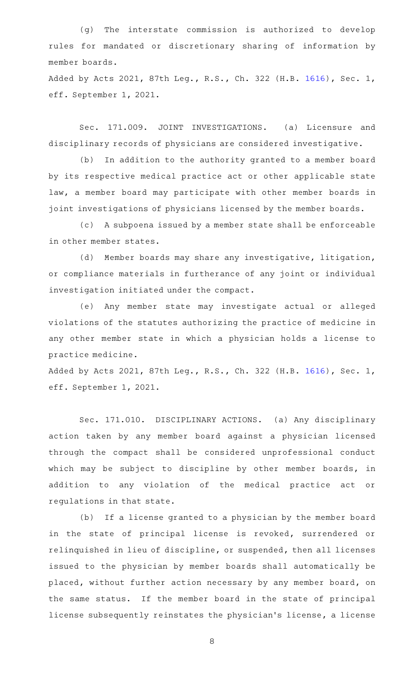(g) The interstate commission is authorized to develop rules for mandated or discretionary sharing of information by member boards.

Added by Acts 2021, 87th Leg., R.S., Ch. 322 (H.B. [1616](http://www.legis.state.tx.us/tlodocs/87R/billtext/html/HB01616F.HTM)), Sec. 1, eff. September 1, 2021.

Sec. 171.009. JOINT INVESTIGATIONS. (a) Licensure and disciplinary records of physicians are considered investigative.

(b) In addition to the authority granted to a member board by its respective medical practice act or other applicable state law, a member board may participate with other member boards in joint investigations of physicians licensed by the member boards.

(c) A subpoena issued by a member state shall be enforceable in other member states.

(d) Member boards may share any investigative, litigation, or compliance materials in furtherance of any joint or individual investigation initiated under the compact.

(e) Any member state may investigate actual or alleged violations of the statutes authorizing the practice of medicine in any other member state in which a physician holds a license to practice medicine.

Added by Acts 2021, 87th Leg., R.S., Ch. 322 (H.B. [1616](http://www.legis.state.tx.us/tlodocs/87R/billtext/html/HB01616F.HTM)), Sec. 1, eff. September 1, 2021.

Sec. 171.010. DISCIPLINARY ACTIONS. (a) Any disciplinary action taken by any member board against a physician licensed through the compact shall be considered unprofessional conduct which may be subject to discipline by other member boards, in addition to any violation of the medical practice act or regulations in that state.

(b) If a license granted to a physician by the member board in the state of principal license is revoked, surrendered or relinquished in lieu of discipline, or suspended, then all licenses issued to the physician by member boards shall automatically be placed, without further action necessary by any member board, on the same status. If the member board in the state of principal license subsequently reinstates the physician 's license, a license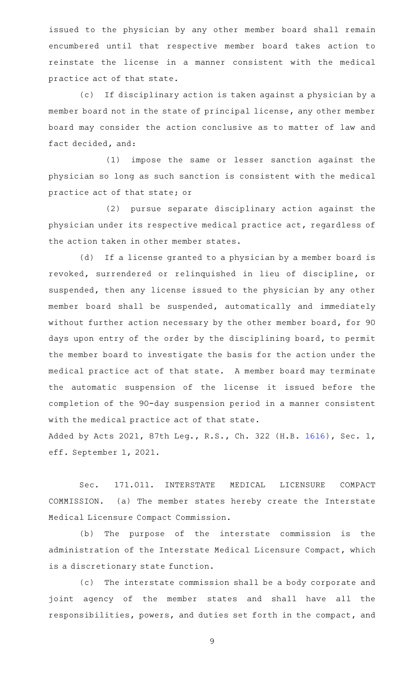issued to the physician by any other member board shall remain encumbered until that respective member board takes action to reinstate the license in a manner consistent with the medical practice act of that state.

(c) If disciplinary action is taken against a physician by a member board not in the state of principal license, any other member board may consider the action conclusive as to matter of law and fact decided, and:

(1) impose the same or lesser sanction against the physician so long as such sanction is consistent with the medical practice act of that state; or

(2) pursue separate disciplinary action against the physician under its respective medical practice act, regardless of the action taken in other member states.

(d) If a license granted to a physician by a member board is revoked, surrendered or relinquished in lieu of discipline, or suspended, then any license issued to the physician by any other member board shall be suspended, automatically and immediately without further action necessary by the other member board, for 90 days upon entry of the order by the disciplining board, to permit the member board to investigate the basis for the action under the medical practice act of that state. A member board may terminate the automatic suspension of the license it issued before the completion of the 90-day suspension period in a manner consistent with the medical practice act of that state. Added by Acts 2021, 87th Leg., R.S., Ch. 322 (H.B. [1616](http://www.legis.state.tx.us/tlodocs/87R/billtext/html/HB01616F.HTM)), Sec. 1,

eff. September 1, 2021.

Sec. 171.011. INTERSTATE MEDICAL LICENSURE COMPACT COMMISSION. (a) The member states hereby create the Interstate Medical Licensure Compact Commission.

(b) The purpose of the interstate commission is the administration of the Interstate Medical Licensure Compact, which is a discretionary state function.

(c) The interstate commission shall be a body corporate and joint agency of the member states and shall have all the responsibilities, powers, and duties set forth in the compact, and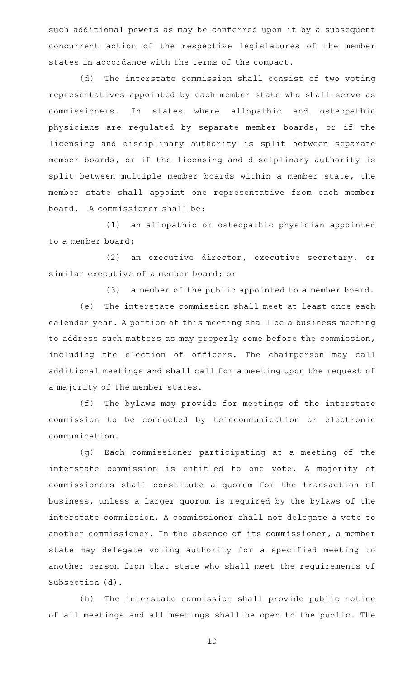such additional powers as may be conferred upon it by a subsequent concurrent action of the respective legislatures of the member states in accordance with the terms of the compact.

(d) The interstate commission shall consist of two voting representatives appointed by each member state who shall serve as commissioners. In states where allopathic and osteopathic physicians are regulated by separate member boards, or if the licensing and disciplinary authority is split between separate member boards, or if the licensing and disciplinary authority is split between multiple member boards within a member state, the member state shall appoint one representative from each member board. A commissioner shall be:

(1) an allopathic or osteopathic physician appointed to a member board;

(2) an executive director, executive secretary, or similar executive of a member board; or

(3) a member of the public appointed to a member board. (e) The interstate commission shall meet at least once each calendar year. A portion of this meeting shall be a business meeting to address such matters as may properly come before the commission, including the election of officers. The chairperson may call additional meetings and shall call for a meeting upon the request of a majority of the member states.

(f) The bylaws may provide for meetings of the interstate commission to be conducted by telecommunication or electronic communication.

(g) Each commissioner participating at a meeting of the interstate commission is entitled to one vote. A majority of commissioners shall constitute a quorum for the transaction of business, unless a larger quorum is required by the bylaws of the interstate commission. A commissioner shall not delegate a vote to another commissioner. In the absence of its commissioner, a member state may delegate voting authority for a specified meeting to another person from that state who shall meet the requirements of Subsection (d).

(h) The interstate commission shall provide public notice of all meetings and all meetings shall be open to the public. The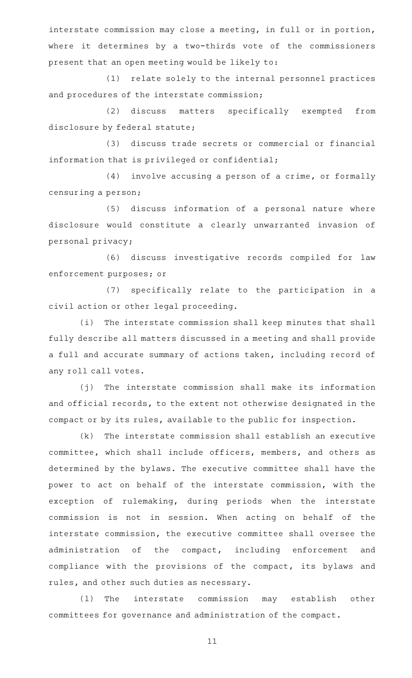interstate commission may close a meeting, in full or in portion, where it determines by a two-thirds vote of the commissioners present that an open meeting would be likely to:

(1) relate solely to the internal personnel practices and procedures of the interstate commission;

(2) discuss matters specifically exempted from disclosure by federal statute;

(3) discuss trade secrets or commercial or financial information that is privileged or confidential;

(4) involve accusing a person of a crime, or formally censuring a person;

(5) discuss information of a personal nature where disclosure would constitute a clearly unwarranted invasion of personal privacy;

(6) discuss investigative records compiled for law enforcement purposes; or

(7) specifically relate to the participation in a civil action or other legal proceeding.

(i) The interstate commission shall keep minutes that shall fully describe all matters discussed in a meeting and shall provide a full and accurate summary of actions taken, including record of any roll call votes.

(j) The interstate commission shall make its information and official records, to the extent not otherwise designated in the compact or by its rules, available to the public for inspection.

 $(k)$  The interstate commission shall establish an executive committee, which shall include officers, members, and others as determined by the bylaws. The executive committee shall have the power to act on behalf of the interstate commission, with the exception of rulemaking, during periods when the interstate commission is not in session. When acting on behalf of the interstate commission, the executive committee shall oversee the administration of the compact, including enforcement and compliance with the provisions of the compact, its bylaws and rules, and other such duties as necessary.

(1) The interstate commission may establish other committees for governance and administration of the compact.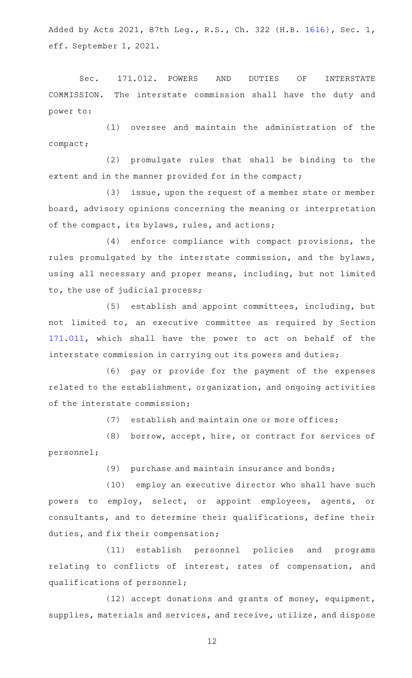Added by Acts 2021, 87th Leg., R.S., Ch. 322 (H.B. [1616](http://www.legis.state.tx.us/tlodocs/87R/billtext/html/HB01616F.HTM)), Sec. 1, eff. September 1, 2021.

Sec. 171.012. POWERS AND DUTIES OF INTERSTATE COMMISSION. The interstate commission shall have the duty and power to:

 $(1)$  oversee and maintain the administration of the compact;

(2) promulgate rules that shall be binding to the extent and in the manner provided for in the compact;

(3) issue, upon the request of a member state or member board, advisory opinions concerning the meaning or interpretation of the compact, its bylaws, rules, and actions;

(4) enforce compliance with compact provisions, the rules promulgated by the interstate commission, and the bylaws, using all necessary and proper means, including, but not limited to, the use of judicial process;

(5) establish and appoint committees, including, but not limited to, an executive committee as required by Section [171.011,](http://www.statutes.legis.state.tx.us/GetStatute.aspx?Code=OC&Value=171.011) which shall have the power to act on behalf of the interstate commission in carrying out its powers and duties;

(6) pay or provide for the payment of the expenses related to the establishment, organization, and ongoing activities of the interstate commission;

 $(7)$  establish and maintain one or more offices;

(8) borrow, accept, hire, or contract for services of personnel;

(9) purchase and maintain insurance and bonds;

(10) employ an executive director who shall have such powers to employ, select, or appoint employees, agents, or consultants, and to determine their qualifications, define their duties, and fix their compensation;

(11) establish personnel policies and programs relating to conflicts of interest, rates of compensation, and qualifications of personnel;

(12) accept donations and grants of money, equipment, supplies, materials and services, and receive, utilize, and dispose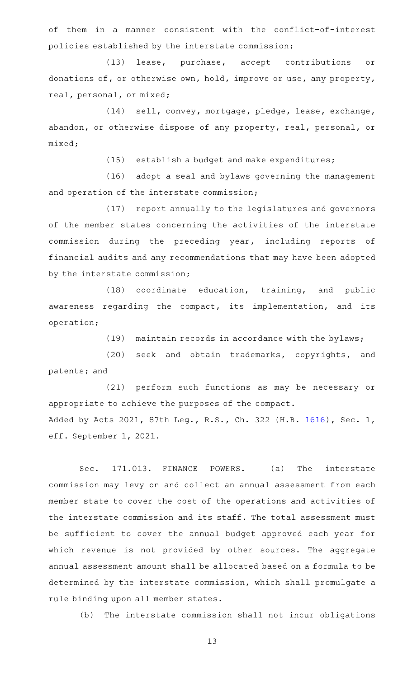of them in a manner consistent with the conflict-of-interest policies established by the interstate commission;

(13) lease, purchase, accept contributions or donations of, or otherwise own, hold, improve or use, any property, real, personal, or mixed;

(14) sell, convey, mortgage, pledge, lease, exchange, abandon, or otherwise dispose of any property, real, personal, or mixed;

 $(15)$  establish a budget and make expenditures;

(16) adopt a seal and bylaws governing the management and operation of the interstate commission;

(17) report annually to the legislatures and governors of the member states concerning the activities of the interstate commission during the preceding year, including reports of financial audits and any recommendations that may have been adopted by the interstate commission;

(18) coordinate education, training, and public awareness regarding the compact, its implementation, and its operation;

 $(19)$  maintain records in accordance with the bylaws;

(20) seek and obtain trademarks, copyrights, and patents; and

(21) perform such functions as may be necessary or appropriate to achieve the purposes of the compact. Added by Acts 2021, 87th Leg., R.S., Ch. 322 (H.B. [1616](http://www.legis.state.tx.us/tlodocs/87R/billtext/html/HB01616F.HTM)), Sec. 1, eff. September 1, 2021.

Sec. 171.013. FINANCE POWERS. (a) The interstate commission may levy on and collect an annual assessment from each member state to cover the cost of the operations and activities of the interstate commission and its staff. The total assessment must be sufficient to cover the annual budget approved each year for which revenue is not provided by other sources. The aggregate annual assessment amount shall be allocated based on a formula to be determined by the interstate commission, which shall promulgate a rule binding upon all member states.

(b) The interstate commission shall not incur obligations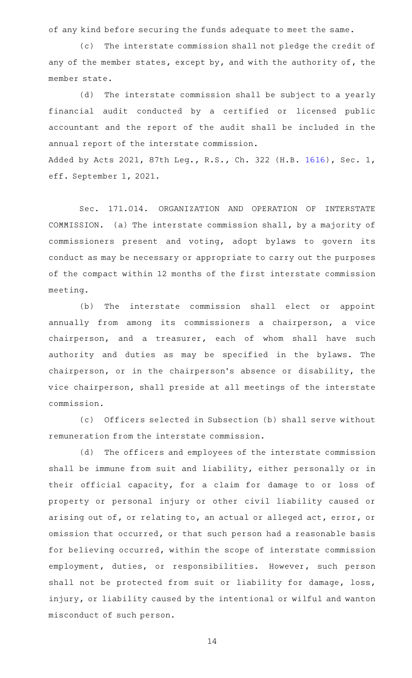of any kind before securing the funds adequate to meet the same.

(c) The interstate commission shall not pledge the credit of any of the member states, except by, and with the authority of, the member state.

(d) The interstate commission shall be subject to a yearly financial audit conducted by a certified or licensed public accountant and the report of the audit shall be included in the annual report of the interstate commission. Added by Acts 2021, 87th Leg., R.S., Ch. 322 (H.B. [1616](http://www.legis.state.tx.us/tlodocs/87R/billtext/html/HB01616F.HTM)), Sec. 1, eff. September 1, 2021.

Sec. 171.014. ORGANIZATION AND OPERATION OF INTERSTATE COMMISSION. (a) The interstate commission shall, by a majority of commissioners present and voting, adopt bylaws to govern its conduct as may be necessary or appropriate to carry out the purposes of the compact within 12 months of the first interstate commission meeting.

(b) The interstate commission shall elect or appoint annually from among its commissioners a chairperson, a vice chairperson, and a treasurer, each of whom shall have such authority and duties as may be specified in the bylaws. The chairperson, or in the chairperson 's absence or disability, the vice chairperson, shall preside at all meetings of the interstate commission.

(c) Officers selected in Subsection (b) shall serve without remuneration from the interstate commission.

(d) The officers and employees of the interstate commission shall be immune from suit and liability, either personally or in their official capacity, for a claim for damage to or loss of property or personal injury or other civil liability caused or arising out of, or relating to, an actual or alleged act, error, or omission that occurred, or that such person had a reasonable basis for believing occurred, within the scope of interstate commission employment, duties, or responsibilities. However, such person shall not be protected from suit or liability for damage, loss, injury, or liability caused by the intentional or wilful and wanton misconduct of such person.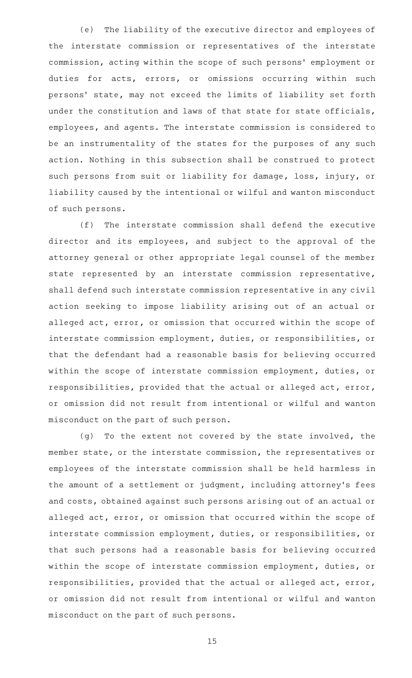(e) The liability of the executive director and employees of the interstate commission or representatives of the interstate commission, acting within the scope of such persons' employment or duties for acts, errors, or omissions occurring within such persons' state, may not exceed the limits of liability set forth under the constitution and laws of that state for state officials, employees, and agents. The interstate commission is considered to be an instrumentality of the states for the purposes of any such action. Nothing in this subsection shall be construed to protect such persons from suit or liability for damage, loss, injury, or liability caused by the intentional or wilful and wanton misconduct of such persons.

(f) The interstate commission shall defend the executive director and its employees, and subject to the approval of the attorney general or other appropriate legal counsel of the member state represented by an interstate commission representative, shall defend such interstate commission representative in any civil action seeking to impose liability arising out of an actual or alleged act, error, or omission that occurred within the scope of interstate commission employment, duties, or responsibilities, or that the defendant had a reasonable basis for believing occurred within the scope of interstate commission employment, duties, or responsibilities, provided that the actual or alleged act, error, or omission did not result from intentional or wilful and wanton misconduct on the part of such person.

(g) To the extent not covered by the state involved, the member state, or the interstate commission, the representatives or employees of the interstate commission shall be held harmless in the amount of a settlement or judgment, including attorney 's fees and costs, obtained against such persons arising out of an actual or alleged act, error, or omission that occurred within the scope of interstate commission employment, duties, or responsibilities, or that such persons had a reasonable basis for believing occurred within the scope of interstate commission employment, duties, or responsibilities, provided that the actual or alleged act, error, or omission did not result from intentional or wilful and wanton misconduct on the part of such persons.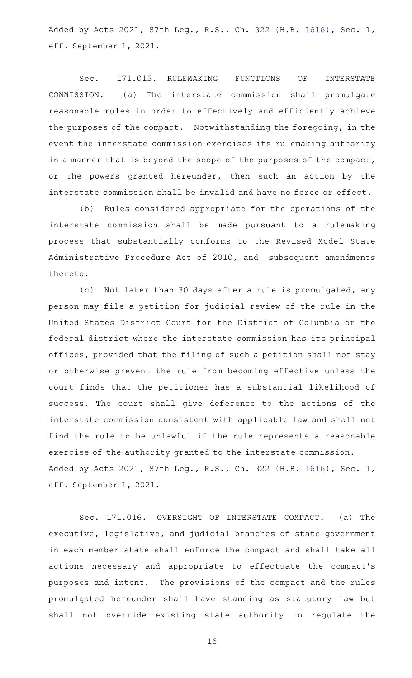Added by Acts 2021, 87th Leg., R.S., Ch. 322 (H.B. [1616](http://www.legis.state.tx.us/tlodocs/87R/billtext/html/HB01616F.HTM)), Sec. 1, eff. September 1, 2021.

Sec. 171.015. RULEMAKING FUNCTIONS OF INTERSTATE COMMISSION. (a) The interstate commission shall promulgate reasonable rules in order to effectively and efficiently achieve the purposes of the compact. Notwithstanding the foregoing, in the event the interstate commission exercises its rulemaking authority in a manner that is beyond the scope of the purposes of the compact, or the powers granted hereunder, then such an action by the interstate commission shall be invalid and have no force or effect.

(b) Rules considered appropriate for the operations of the interstate commission shall be made pursuant to a rulemaking process that substantially conforms to the Revised Model State Administrative Procedure Act of 2010, and subsequent amendments thereto.

(c) Not later than 30 days after a rule is promulgated, any person may file a petition for judicial review of the rule in the United States District Court for the District of Columbia or the federal district where the interstate commission has its principal offices, provided that the filing of such a petition shall not stay or otherwise prevent the rule from becoming effective unless the court finds that the petitioner has a substantial likelihood of success. The court shall give deference to the actions of the interstate commission consistent with applicable law and shall not find the rule to be unlawful if the rule represents a reasonable exercise of the authority granted to the interstate commission. Added by Acts 2021, 87th Leg., R.S., Ch. 322 (H.B. [1616](http://www.legis.state.tx.us/tlodocs/87R/billtext/html/HB01616F.HTM)), Sec. 1, eff. September 1, 2021.

Sec. 171.016. OVERSIGHT OF INTERSTATE COMPACT. (a) The executive, legislative, and judicial branches of state government in each member state shall enforce the compact and shall take all actions necessary and appropriate to effectuate the compact 's purposes and intent. The provisions of the compact and the rules promulgated hereunder shall have standing as statutory law but shall not override existing state authority to regulate the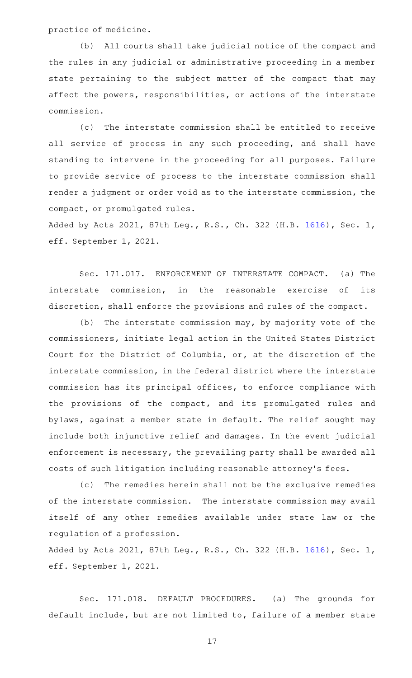practice of medicine.

(b) All courts shall take judicial notice of the compact and the rules in any judicial or administrative proceeding in a member state pertaining to the subject matter of the compact that may affect the powers, responsibilities, or actions of the interstate commission.

(c) The interstate commission shall be entitled to receive all service of process in any such proceeding, and shall have standing to intervene in the proceeding for all purposes. Failure to provide service of process to the interstate commission shall render a judgment or order void as to the interstate commission, the compact, or promulgated rules.

Added by Acts 2021, 87th Leg., R.S., Ch. 322 (H.B. [1616](http://www.legis.state.tx.us/tlodocs/87R/billtext/html/HB01616F.HTM)), Sec. 1, eff. September 1, 2021.

Sec. 171.017. ENFORCEMENT OF INTERSTATE COMPACT. (a) The interstate commission, in the reasonable exercise of its discretion, shall enforce the provisions and rules of the compact.

 $(b)$  The interstate commission may, by majority vote of the commissioners, initiate legal action in the United States District Court for the District of Columbia, or, at the discretion of the interstate commission, in the federal district where the interstate commission has its principal offices, to enforce compliance with the provisions of the compact, and its promulgated rules and bylaws, against a member state in default. The relief sought may include both injunctive relief and damages. In the event judicial enforcement is necessary, the prevailing party shall be awarded all costs of such litigation including reasonable attorney 's fees.

(c) The remedies herein shall not be the exclusive remedies of the interstate commission. The interstate commission may avail itself of any other remedies available under state law or the regulation of a profession.

Added by Acts 2021, 87th Leg., R.S., Ch. 322 (H.B. [1616](http://www.legis.state.tx.us/tlodocs/87R/billtext/html/HB01616F.HTM)), Sec. 1, eff. September 1, 2021.

Sec. 171.018. DEFAULT PROCEDURES. (a) The grounds for default include, but are not limited to, failure of a member state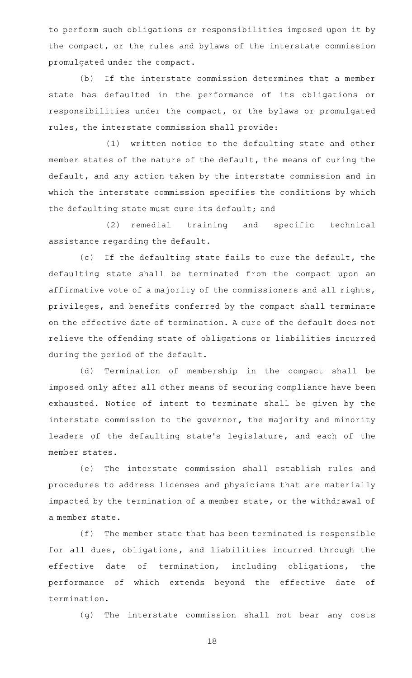to perform such obligations or responsibilities imposed upon it by the compact, or the rules and bylaws of the interstate commission promulgated under the compact.

(b) If the interstate commission determines that a member state has defaulted in the performance of its obligations or responsibilities under the compact, or the bylaws or promulgated rules, the interstate commission shall provide:

(1) written notice to the defaulting state and other member states of the nature of the default, the means of curing the default, and any action taken by the interstate commission and in which the interstate commission specifies the conditions by which the defaulting state must cure its default; and

(2) remedial training and specific technical assistance regarding the default.

(c) If the defaulting state fails to cure the default, the defaulting state shall be terminated from the compact upon an affirmative vote of a majority of the commissioners and all rights, privileges, and benefits conferred by the compact shall terminate on the effective date of termination. A cure of the default does not relieve the offending state of obligations or liabilities incurred during the period of the default.

(d) Termination of membership in the compact shall be imposed only after all other means of securing compliance have been exhausted. Notice of intent to terminate shall be given by the interstate commission to the governor, the majority and minority leaders of the defaulting state 's legislature, and each of the member states.

(e) The interstate commission shall establish rules and procedures to address licenses and physicians that are materially impacted by the termination of a member state, or the withdrawal of a member state.

(f) The member state that has been terminated is responsible for all dues, obligations, and liabilities incurred through the effective date of termination, including obligations, the performance of which extends beyond the effective date of termination.

(g) The interstate commission shall not bear any costs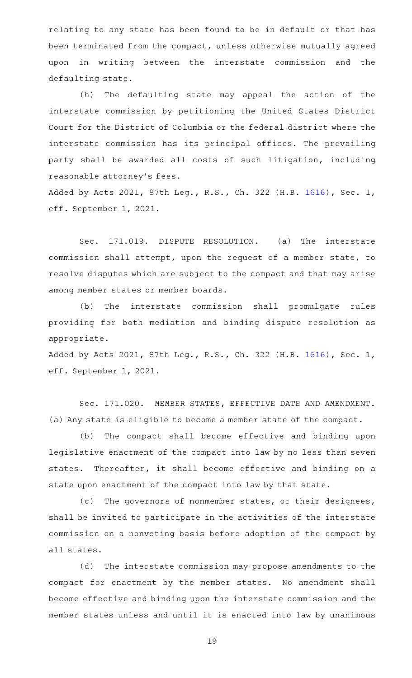relating to any state has been found to be in default or that has been terminated from the compact, unless otherwise mutually agreed upon in writing between the interstate commission and the defaulting state.

(h) The defaulting state may appeal the action of the interstate commission by petitioning the United States District Court for the District of Columbia or the federal district where the interstate commission has its principal offices. The prevailing party shall be awarded all costs of such litigation, including reasonable attorney 's fees.

Added by Acts 2021, 87th Leg., R.S., Ch. 322 (H.B. [1616](http://www.legis.state.tx.us/tlodocs/87R/billtext/html/HB01616F.HTM)), Sec. 1, eff. September 1, 2021.

Sec. 171.019. DISPUTE RESOLUTION. (a) The interstate commission shall attempt, upon the request of a member state, to resolve disputes which are subject to the compact and that may arise among member states or member boards.

(b) The interstate commission shall promulgate rules providing for both mediation and binding dispute resolution as appropriate.

Added by Acts 2021, 87th Leg., R.S., Ch. 322 (H.B. [1616](http://www.legis.state.tx.us/tlodocs/87R/billtext/html/HB01616F.HTM)), Sec. 1, eff. September 1, 2021.

Sec. 171.020. MEMBER STATES, EFFECTIVE DATE AND AMENDMENT. (a) Any state is eligible to become a member state of the compact.

(b) The compact shall become effective and binding upon legislative enactment of the compact into law by no less than seven states. Thereafter, it shall become effective and binding on a state upon enactment of the compact into law by that state.

(c) The governors of nonmember states, or their designees, shall be invited to participate in the activities of the interstate commission on a nonvoting basis before adoption of the compact by all states.

(d) The interstate commission may propose amendments to the compact for enactment by the member states. No amendment shall become effective and binding upon the interstate commission and the member states unless and until it is enacted into law by unanimous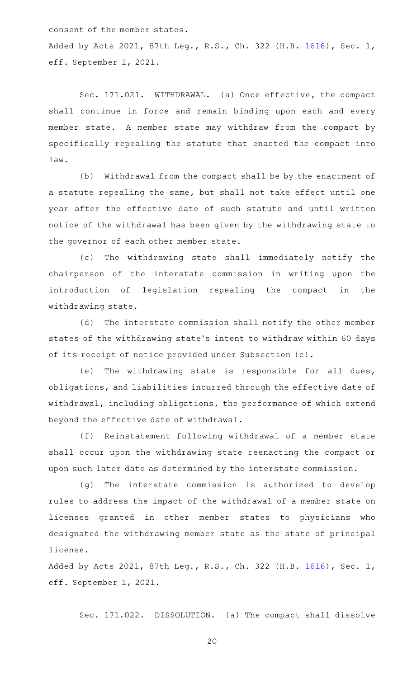consent of the member states.

Added by Acts 2021, 87th Leg., R.S., Ch. 322 (H.B. [1616](http://www.legis.state.tx.us/tlodocs/87R/billtext/html/HB01616F.HTM)), Sec. 1, eff. September 1, 2021.

Sec. 171.021. WITHDRAWAL. (a) Once effective, the compact shall continue in force and remain binding upon each and every member state. A member state may withdraw from the compact by specifically repealing the statute that enacted the compact into law.

(b) Withdrawal from the compact shall be by the enactment of a statute repealing the same, but shall not take effect until one year after the effective date of such statute and until written notice of the withdrawal has been given by the withdrawing state to the governor of each other member state.

(c) The withdrawing state shall immediately notify the chairperson of the interstate commission in writing upon the introduction of legislation repealing the compact in the withdrawing state.

(d) The interstate commission shall notify the other member states of the withdrawing state 's intent to withdraw within 60 days of its receipt of notice provided under Subsection (c).

(e) The withdrawing state is responsible for all dues, obligations, and liabilities incurred through the effective date of withdrawal, including obligations, the performance of which extend beyond the effective date of withdrawal.

(f) Reinstatement following withdrawal of a member state shall occur upon the withdrawing state reenacting the compact or upon such later date as determined by the interstate commission.

(g) The interstate commission is authorized to develop rules to address the impact of the withdrawal of a member state on licenses granted in other member states to physicians who designated the withdrawing member state as the state of principal license.

Added by Acts 2021, 87th Leg., R.S., Ch. 322 (H.B. [1616](http://www.legis.state.tx.us/tlodocs/87R/billtext/html/HB01616F.HTM)), Sec. 1, eff. September 1, 2021.

Sec. 171.022. DISSOLUTION. (a) The compact shall dissolve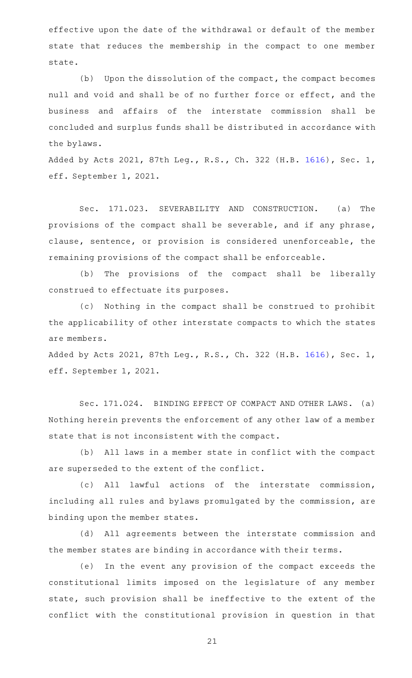effective upon the date of the withdrawal or default of the member state that reduces the membership in the compact to one member state.

 $(b)$  Upon the dissolution of the compact, the compact becomes null and void and shall be of no further force or effect, and the business and affairs of the interstate commission shall be concluded and surplus funds shall be distributed in accordance with the bylaws.

Added by Acts 2021, 87th Leg., R.S., Ch. 322 (H.B. [1616](http://www.legis.state.tx.us/tlodocs/87R/billtext/html/HB01616F.HTM)), Sec. 1, eff. September 1, 2021.

Sec. 171.023. SEVERABILITY AND CONSTRUCTION. (a) The provisions of the compact shall be severable, and if any phrase, clause, sentence, or provision is considered unenforceable, the remaining provisions of the compact shall be enforceable.

(b) The provisions of the compact shall be liberally construed to effectuate its purposes.

(c) Nothing in the compact shall be construed to prohibit the applicability of other interstate compacts to which the states are members.

Added by Acts 2021, 87th Leg., R.S., Ch. 322 (H.B. [1616](http://www.legis.state.tx.us/tlodocs/87R/billtext/html/HB01616F.HTM)), Sec. 1, eff. September 1, 2021.

Sec. 171.024. BINDING EFFECT OF COMPACT AND OTHER LAWS. (a) Nothing herein prevents the enforcement of any other law of a member state that is not inconsistent with the compact.

(b) All laws in a member state in conflict with the compact are superseded to the extent of the conflict.

(c) All lawful actions of the interstate commission, including all rules and bylaws promulgated by the commission, are binding upon the member states.

(d) All agreements between the interstate commission and the member states are binding in accordance with their terms.

(e) In the event any provision of the compact exceeds the constitutional limits imposed on the legislature of any member state, such provision shall be ineffective to the extent of the conflict with the constitutional provision in question in that